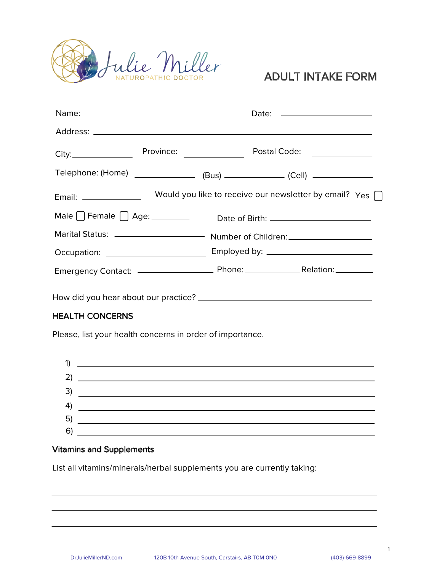

# **ADULT INTAKE FORM**

|                                                                                  | Province: <u>_________________</u>                               | Postal Code: ______________ |  |
|----------------------------------------------------------------------------------|------------------------------------------------------------------|-----------------------------|--|
| Telephone: (Home) _________________ (Bus) ______________ (Cell) ________________ |                                                                  |                             |  |
| Email: ________________                                                          | Would you like to receive our newsletter by email? Yes $\bigcap$ |                             |  |
|                                                                                  |                                                                  |                             |  |
|                                                                                  |                                                                  |                             |  |
|                                                                                  |                                                                  |                             |  |
|                                                                                  |                                                                  |                             |  |
|                                                                                  |                                                                  |                             |  |

:^fQWQh^dVRMa MO^dc ^da \_aMPcWPRͣ

### HEALTH CONCERNS

Please, list your health concerns in order of importance.



#### Vitamins and Supplements

List all vitamins/minerals/herbal supplements you are currently taking:

1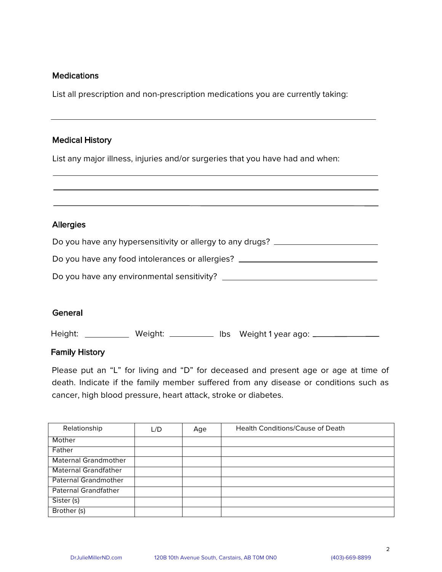#### **Medications**

List all prescription and non-prescription medications you are currently taking:

#### **Medical History**

List any major illness, injuries and/or surgeries that you have had and when:

# **Allergies** Do you have any hypersensitivity or allergy to any drugs? \_\_\_\_\_\_\_\_\_\_\_\_\_\_\_\_\_\_\_\_\_\_ Do you have any food intolerances or allergies? \_\_\_\_\_\_\_\_\_\_\_\_\_\_\_\_\_\_\_\_\_\_\_\_\_\_\_\_\_\_\_\_ 5^ h^dVMeR M]h R]eWa^]\R]cMZ bR]bWcWeWchͣ

#### **General**

Height: \_\_\_\_\_\_\_\_\_\_\_ Weight: \_\_\_\_\_\_\_\_\_\_ Ibs Weight 1 year ago: \_\_\_\_\_\_\_\_\_\_\_\_\_\_\_\_\_\_

#### **Family History**

Please put an "L" for living and "D" for deceased and present age or age at time of death. Indicate if the family member suffered from any disease or conditions such as cancer, high blood pressure, heart attack, stroke or diabetes.

| Relationship                | L/D | Age | <b>Health Conditions/Cause of Death</b> |
|-----------------------------|-----|-----|-----------------------------------------|
| Mother                      |     |     |                                         |
| Father                      |     |     |                                         |
| <b>Maternal Grandmother</b> |     |     |                                         |
| <b>Maternal Grandfather</b> |     |     |                                         |
| <b>Paternal Grandmother</b> |     |     |                                         |
| Paternal Grandfather        |     |     |                                         |
| Sister (s)                  |     |     |                                         |
| Brother (s)                 |     |     |                                         |

2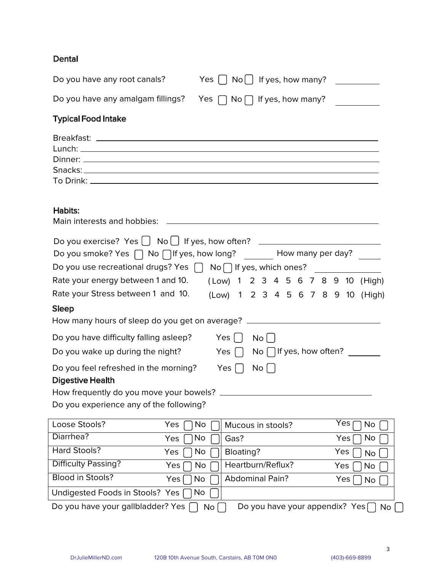## Dental

| Do you have any root canals?                                                                                                                                                                                                                                   | Yes $\left[\begin{array}{c} \end{array}\right]$ No $\left[\begin{array}{c} \end{array}\right]$ If yes, how many? |          |  |  |  |                                     |
|----------------------------------------------------------------------------------------------------------------------------------------------------------------------------------------------------------------------------------------------------------------|------------------------------------------------------------------------------------------------------------------|----------|--|--|--|-------------------------------------|
| Do you have any amalgam fillings? Yes $\bigcap$ No $\bigcap$ If yes, how many?                                                                                                                                                                                 |                                                                                                                  |          |  |  |  |                                     |
| <b>Typical Food Intake</b>                                                                                                                                                                                                                                     |                                                                                                                  |          |  |  |  |                                     |
|                                                                                                                                                                                                                                                                |                                                                                                                  |          |  |  |  |                                     |
| Habits:                                                                                                                                                                                                                                                        |                                                                                                                  |          |  |  |  |                                     |
| Do you exercise? Yes $\Box$ No $\Box$ If yes, how often? ____________________________<br>Do you smoke? Yes $\bigcap$ No $\bigcap$ If yes, how long? _______ How many per day? _____<br>Do you use recreational drugs? Yes $\Box$ No $\Box$ If yes, which ones? |                                                                                                                  |          |  |  |  |                                     |
| Rate your energy between 1 and 10. (Low) 1 2 3 4 5 6 7 8 9 10 (High)                                                                                                                                                                                           |                                                                                                                  |          |  |  |  |                                     |
| Rate your Stress between 1 and 10.                                                                                                                                                                                                                             |                                                                                                                  |          |  |  |  | (Low) 1 2 3 4 5 6 7 8 9 10 (High)   |
| <b>Sleep</b><br>How many hours of sleep do you get on average? _________________________________                                                                                                                                                               |                                                                                                                  |          |  |  |  |                                     |
| Do you have difficulty falling asleep? Yes []<br>Do you wake up during the night? Yes $\begin{bmatrix} \end{bmatrix}$                                                                                                                                          |                                                                                                                  | $No$ $ $ |  |  |  | No $\Box$ If yes, how often? $\Box$ |
| Do you feel refreshed in the morning? Yes $\bigcap$<br><b>Digestive Health</b><br>How frequently do you move your bowels? _                                                                                                                                    |                                                                                                                  | $No$ $ $ |  |  |  |                                     |
|                                                                                                                                                                                                                                                                |                                                                                                                  |          |  |  |  |                                     |

Do you experience any of the following?

| Loose Stools?                     | Yes<br>No. | Mucous in stools?              | Yes<br>No              |
|-----------------------------------|------------|--------------------------------|------------------------|
| Diarrhea?                         | No.<br>Yes | Gas?                           | Yes.<br><b>NO</b>      |
| Hard Stools?                      | No.<br>Yes | Bloating?                      | Yes<br>No <sub>1</sub> |
| <b>Difficulty Passing?</b>        | No.<br>Yes | Heartburn/Reflux?              | Yes<br><b>No</b>       |
| Blood in Stools?                  | No<br>Yes  | <b>Abdominal Pain?</b>         | Yes<br>No              |
| Undigested Foods in Stools? Yes [ | □No        |                                |                        |
| Do you have your gallbladder? Yes | No         | Do you have your appendix? Yes | <b>No</b>              |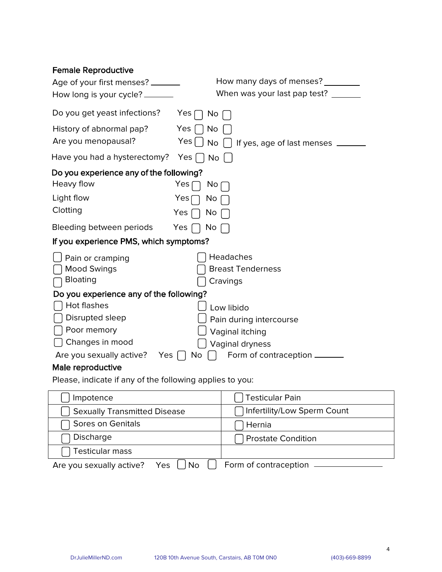| <b>Female Reproductive</b>              |                                                |
|-----------------------------------------|------------------------------------------------|
| Age of your first menses? ______        | How many days of menses?                       |
| How long is your cycle? _______         | When was your last pap test?                   |
| Do you get yeast infections?            | Yes <sub>1</sub><br>No                         |
| History of abnormal pap?                | Yes<br>No                                      |
| Are you menopausal?                     | Yes<br>If yes, age of last menses<br><b>No</b> |
| Have you had a hysterectomy?            | Yes<br><b>No</b>                               |
| Do you experience any of the following? |                                                |
| Heavy flow                              | Yes<br>No.                                     |
| Light flow                              | Yes<br>No                                      |
| Clotting                                | Yes<br>No                                      |
| Bleeding between periods                | Yes<br>No                                      |
| If you experience PMS, which symptoms?  |                                                |
| Pain or cramping                        | Headaches                                      |
| <b>Mood Swings</b>                      | <b>Breast Tenderness</b>                       |
| Bloating                                | Cravings                                       |
| Do you experience any of the following? |                                                |
| Hot flashes                             | Low libido                                     |
| Disrupted sleep                         | Pain during intercourse                        |
| Poor memory                             | Vaginal itching                                |
| Changes in mood                         | Vaginal dryness                                |
| Are you sexually active?<br><b>Yes</b>  | Form of contraception __<br>No                 |
| Male reproductive                       |                                                |

Please, indicate if any of the following applies to you:

| Impotence                                   | <b>Testicular Pain</b>      |  |  |
|---------------------------------------------|-----------------------------|--|--|
| <b>Sexually Transmitted Disease</b>         | Infertility/Low Sperm Count |  |  |
| Sores on Genitals                           | Hernia                      |  |  |
| Discharge                                   | <b>Prostate Condition</b>   |  |  |
| <b>Testicular mass</b>                      |                             |  |  |
| Are you sexually active?<br>— Yes   ∐<br>No | Form of contraception       |  |  |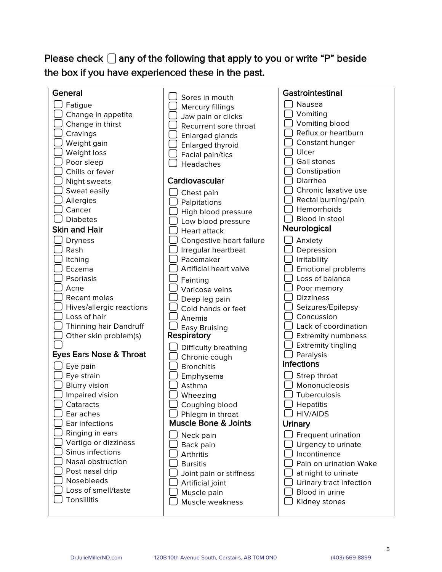## Please check  $\Box$  any of the following that apply to you or write "P" beside the box if you have experienced these in the past.

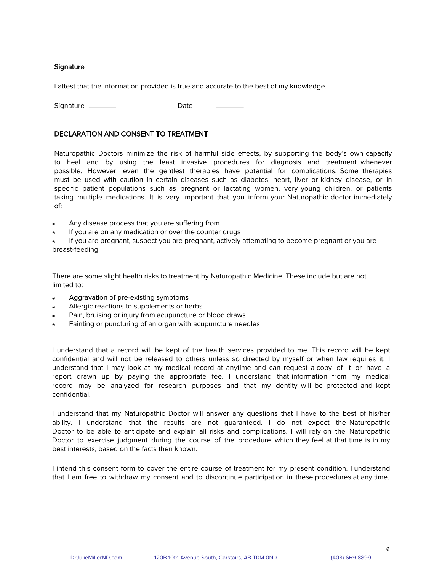#### Signature

I attest that the information provided is true and accurate to the best of my knowledge.

Signature \_\_\_\_\_\_\_\_\_\_\_\_\_\_\_\_\_\_\_\_\_\_\_\_\_\_\_\_\_\_\_\_\_\_Date

#### DECLARATION AND CONSENT TO TREATMENT

Naturopathic Doctors minimize the risk of harmful side effects, by supporting the body's own capacity to heal and by using the least invasive procedures for diagnosis and treatment whenever possible. However, even the gentlest therapies have potential for complications. Some therapies must be used with caution in certain diseases such as diabetes, heart, liver or kidney disease, or in specific patient populations such as pregnant or lactating women, very young children, or patients taking multiple medications. It is very important that you inform your Naturopathic doctor immediately of:

- $\bullet$  Any disease process that you are suffering from
- If you are on any medication or over the counter drugs

If you are pregnant, suspect you are pregnant, actively attempting to become pregnant or you are breast-feeding

There are some slight health risks to treatment by Naturopathic Medicine. These include but are not limited to:

- Aggravation of pre-existing symptoms
- Allergic reactions to supplements or herbs
- Pain, bruising or injury from acupuncture or blood draws
- Fainting or puncturing of an organ with acupuncture needles

I understand that a record will be kept of the health services provided to me. This record will be kept confidential and will not be released to others unless so directed by myself or when law requires it. I understand that I may look at my medical record at anytime and can request a copy of it or have a report drawn up by paying the appropriate fee. I understand that information from my medical record may be analyzed for research purposes and that my identity will be protected and kept confidential.

I understand that my Naturopathic Doctor will answer any questions that I have to the best of his/her ability. I understand that the results are not quaranteed. I do not expect the Naturopathic Doctor to be able to anticipate and explain all risks and complications. I will rely on the Naturopathic Doctor to exercise judgment during the course of the procedure which they feel at that time is in my best interests, based on the facts then known.

I intend this consent form to cover the entire course of treatment for my present condition. I understand that I am free to withdraw my consent and to discontinue participation in these procedures at any time.